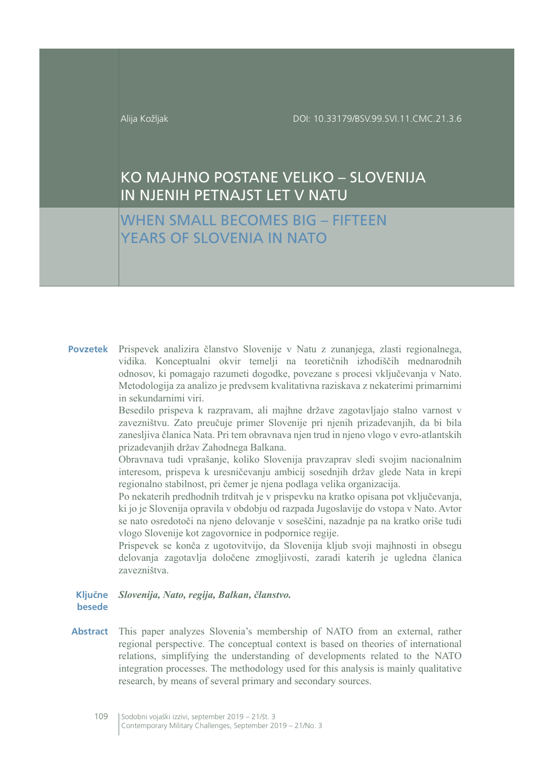# KO MAJHNO POSTANE VELIKO - SLOVENIJA IN NJENIH PETNAJST LET V NATU

# **WHEN SMALL BECOMES BIG - FIFTEEN** YFARS OF SLOVENIA IN NATO

Povzetek Prispevek analizira članstvo Slovenije v Natu z zunanjega, zlasti regionalnega, vidika. Konceptualni okvir temelji na teoretičnih izhodiščih mednarodnih odnosov, ki pomagajo razumeti dogodke, povezane s procesi vključevanja v Nato. Metodologija za analizo je predvsem kvalitativna raziskava z nekaterimi primarnimi in sekundarnimi viri.

> Besedilo prispeva k razpravam, ali majhne države zagotavljajo stalno varnost v zavezništvu. Zato preučuje primer Slovenije pri njenih prizadevanjih, da bi bila zanesljiva članica Nata. Pri tem obravnava njen trud in njeno vlogo v evro-atlantskih prizadevanjih držav Zahodnega Balkana.

> Obravnava tudi vprašanje, koliko Slovenija pravzaprav sledi svojim nacionalnim interesom, prispeva k uresničevanju ambicij sosednjih držav glede Nata in krepi regionalno stabilnost, pri čemer je njena podlaga velika organizacija.

> Po nekaterih predhodnih trditvah je v prispevku na kratko opisana pot vključevanja, ki jo je Slovenija opravila v obdobju od razpada Jugoslavije do vstopa v Nato. Avtor se nato osredotoči na njeno delovanje v soseščini, nazadnje pa na kratko oriše tudi vlogo Slovenije kot zagovornice in podpornice regije.

> Prispevek se konča z ugotovitvijo, da Slovenija kljub svoji majhnosti in obsegu delovanja zagotavlja določene zmogljivosti, zaradi katerih je ugledna članica zavezništva.

## Ključne Slovenija, Nato, regija, Balkan, članstvo. besede

This paper analyzes Slovenia's membership of NATO from an external, rather **Abstract** regional perspective. The conceptual context is based on theories of international relations, simplifying the understanding of developments related to the NATO integration processes. The methodology used for this analysis is mainly qualitative research, by means of several primary and secondary sources.

<sup>109</sup> Sodobni vojaški izzivi, september 2019 - 21/št. 3 Contemporary Military Challenges, September 2019 - 21/No. 3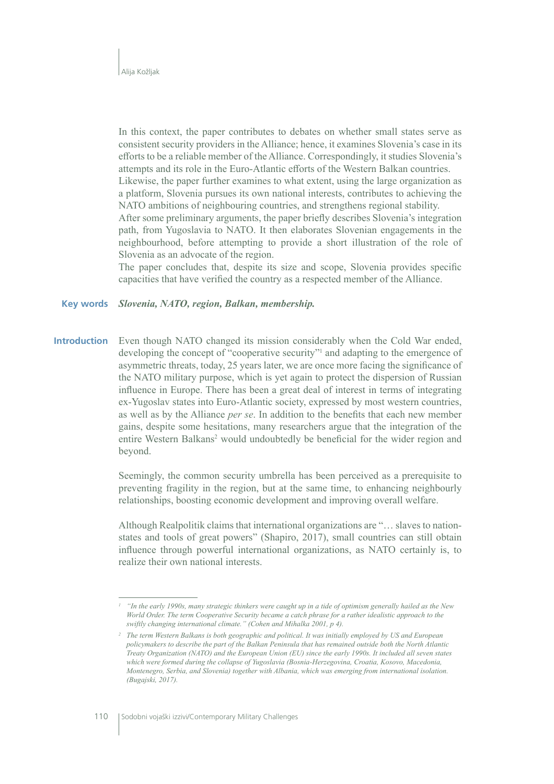In this context, the paper contributes to debates on whether small states serve as consistent security providers in the Alliance; hence, it examines Slovenia's case in its efforts to be a reliable member of the Alliance. Correspondingly, it studies Slovenia's attempts and its role in the Euro-Atlantic efforts of the Western Balkan countries. Likewise, the paper further examines to what extent, using the large organization as a platform, Slovenia pursues its own national interests, contributes to achieving the NATO ambitions of neighbouring countries, and strengthens regional stability. After some preliminary arguments, the paper briefly describes Slovenia's integration path, from Yugoslavia to NATO. It then elaborates Slovenian engagements in the neighbourhood, before attempting to provide a short illustration of the role of Slovenia as an advocate of the region.

The paper concludes that, despite its size and scope, Slovenia provides specific capacities that have verified the country as a respected member of the Alliance.

#### **Key words** Slovenia, NATO, region, Balkan, membership.

**Introduction** Even though NATO changed its mission considerably when the Cold War ended, developing the concept of "cooperative security" and adapting to the emergence of asymmetric threats, today, 25 years later, we are once more facing the significance of the NATO military purpose, which is yet again to protect the dispersion of Russian influence in Europe. There has been a great deal of interest in terms of integrating ex-Yugoslav states into Euro-Atlantic society, expressed by most western countries, as well as by the Alliance per se. In addition to the benefits that each new member gains, despite some hesitations, many researchers argue that the integration of the entire Western Balkans<sup>2</sup> would undoubtedly be beneficial for the wider region and beyond.

> Seemingly, the common security umbrella has been perceived as a prerequisite to preventing fragility in the region, but at the same time, to enhancing neighbourly relationships, boosting economic development and improving overall welfare.

> Although Realpolitik claims that international organizations are "... slaves to nationstates and tools of great powers" (Shapiro, 2017), small countries can still obtain influence through powerful international organizations, as NATO certainly is, to realize their own national interests.

<sup>&</sup>quot;In the early 1990s, many strategic thinkers were caught up in a tide of optimism generally hailed as the New World Order. The term Cooperative Security became a catch phrase for a rather idealistic approach to the swiftly changing international climate." (Cohen and Mihalka 2001, p 4).

<sup>&</sup>lt;sup>2</sup> The term Western Balkans is both geographic and political. It was initially employed by US and European policymakers to describe the part of the Balkan Peninsula that has remained outside both the North Atlantic Treaty Organization (NATO) and the European Union (EU) since the early 1990s. It included all seven states which were formed during the collapse of Yugoslavia (Bosnia-Herzegovina, Croatia, Kosovo, Macedonia, Montenegro, Serbia, and Slovenia) together with Albania, which was emerging from international isolation. (Bugaiski, 2017).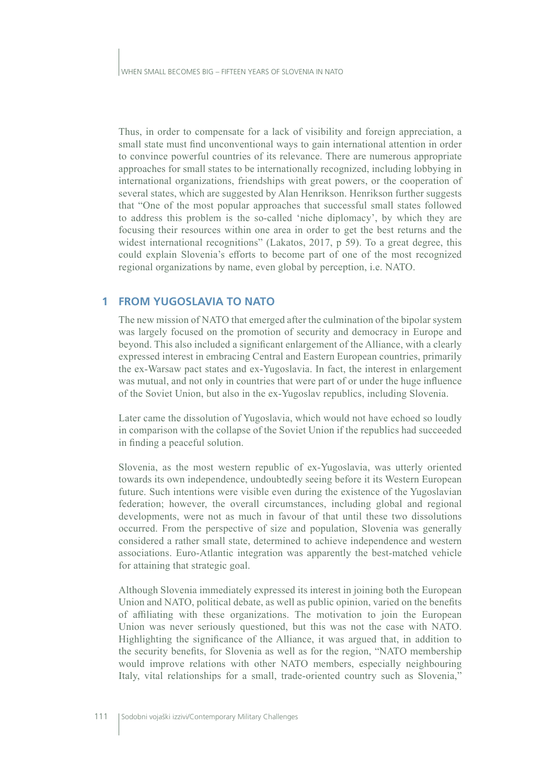Thus, in order to compensate for a lack of visibility and foreign appreciation, a small state must find unconventional ways to gain international attention in order to convince powerful countries of its relevance. There are numerous appropriate approaches for small states to be internationally recognized, including lobbying in international organizations, friendships with great powers, or the cooperation of several states, which are suggested by Alan Henrikson. Henrikson further suggests that "One of the most popular approaches that successful small states followed to address this problem is the so-called 'niche diplomacy', by which they are focusing their resources within one area in order to get the best returns and the widest international recognitions" (Lakatos, 2017,  $p$  59). To a great degree, this could explain Slovenia's efforts to become part of one of the most recognized regional organizations by name, even global by perception, i.e. NATO.

# **1 FROM YUGOSLAVIA TO NATO**

The new mission of NATO that emerged after the culmination of the bipolar system was largely focused on the promotion of security and democracy in Europe and beyond. This also included a significant enlargement of the Alliance, with a clearly expressed interest in embracing Central and Eastern European countries, primarily the ex-Warsaw pact states and ex-Yugoslavia. In fact, the interest in enlargement was mutual, and not only in countries that were part of or under the huge influence of the Soviet Union, but also in the ex-Yugoslav republics, including Slovenia.

Later came the dissolution of Yugoslavia, which would not have echoed so loudly in comparison with the collapse of the Soviet Union if the republics had succeeded in finding a peaceful solution.

Slovenia, as the most western republic of ex-Yugoslavia, was utterly oriented towards its own independence, undoubtedly seeing before it its Western European future. Such intentions were visible even during the existence of the Yugoslavian federation; however, the overall circumstances, including global and regional developments, were not as much in favour of that until these two dissolutions occurred. From the perspective of size and population, Slovenia was generally considered a rather small state, determined to achieve independence and western associations. Euro-Atlantic integration was apparently the best-matched vehicle for attaining that strategic goal.

Although Slovenia immediately expressed its interest in joining both the European Union and NATO, political debate, as well as public opinion, varied on the benefits of affiliating with these organizations. The motivation to join the European Union was never seriously questioned, but this was not the case with NATO. Highlighting the significance of the Alliance, it was argued that, in addition to the security benefits, for Slovenia as well as for the region, "NATO membership would improve relations with other NATO members, especially neighbouring Italy, vital relationships for a small, trade-oriented country such as Slovenia,"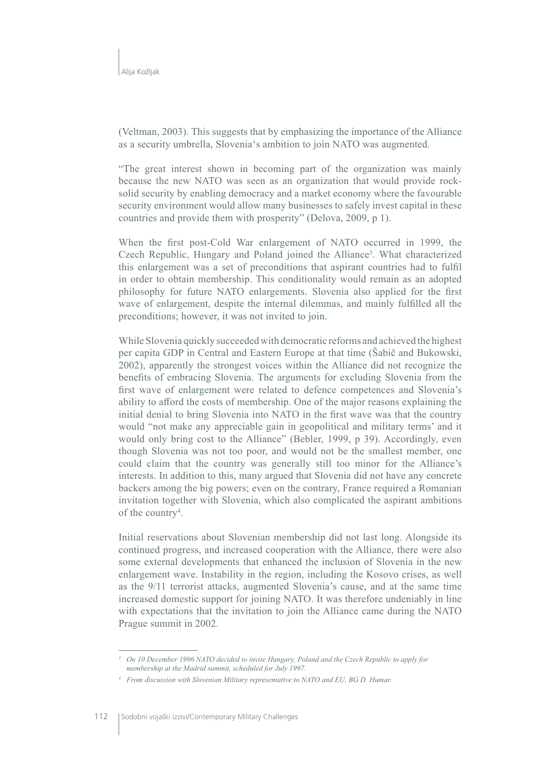(Veltman, 2003). This suggests that by emphasizing the importance of the Alliance as a security umbrella, Slovenia's ambition to join NATO was augmented.

"The great interest shown in becoming part of the organization was mainly because the new NATO was seen as an organization that would provide rocksolid security by enabling democracy and a market economy where the favourable security environment would allow many businesses to safely invest capital in these countries and provide them with prosperity" (Delova, 2009, p 1).

When the first post-Cold War enlargement of NATO occurred in 1999, the Czech Republic, Hungary and Poland joined the Alliance<sup>3</sup>. What characterized this enlargement was a set of preconditions that aspirant countries had to fulfil in order to obtain membership. This conditionality would remain as an adopted philosophy for future NATO enlargements. Slovenia also applied for the first wave of enlargement, despite the internal dilemmas, and mainly fulfilled all the preconditions; however, it was not invited to join.

While Slovenia quickly succeeded with democratic reforms and achieved the highest per capita GDP in Central and Eastern Europe at that time (Sabič and Bukowski, 2002), apparently the strongest voices within the Alliance did not recognize the benefits of embracing Slovenia. The arguments for excluding Slovenia from the first wave of enlargement were related to defence competences and Slovenia's ability to afford the costs of membership. One of the major reasons explaining the initial denial to bring Slovenia into NATO in the first wave was that the country would "not make any appreciable gain in geopolitical and military terms' and it would only bring cost to the Alliance" (Bebler, 1999, p 39). Accordingly, even though Slovenia was not too poor, and would not be the smallest member, one could claim that the country was generally still too minor for the Alliance's interests. In addition to this, many argued that Slovenia did not have any concrete backers among the big powers; even on the contrary, France required a Romanian invitation together with Slovenia, which also complicated the aspirant ambitions of the country<sup>4</sup>.

Initial reservations about Slovenian membership did not last long. Alongside its continued progress, and increased cooperation with the Alliance, there were also some external developments that enhanced the inclusion of Slovenia in the new enlargement wave. Instability in the region, including the Kosovo crises, as well as the 9/11 terrorist attacks, augmented Slovenia's cause, and at the same time increased domestic support for joining NATO. It was therefore undeniably in line with expectations that the invitation to join the Alliance came during the NATO Prague summit in 2002.

<sup>&</sup>lt;sup>3</sup> On 10 December 1996 NATO decided to invite Hungary, Poland and the Czech Republic to apply for membership at the Madrid summit, scheduled for July 1997.

<sup>&</sup>lt;sup>4</sup> From discussion with Slovenian Military representative to NATO and EU, BG D. Humar.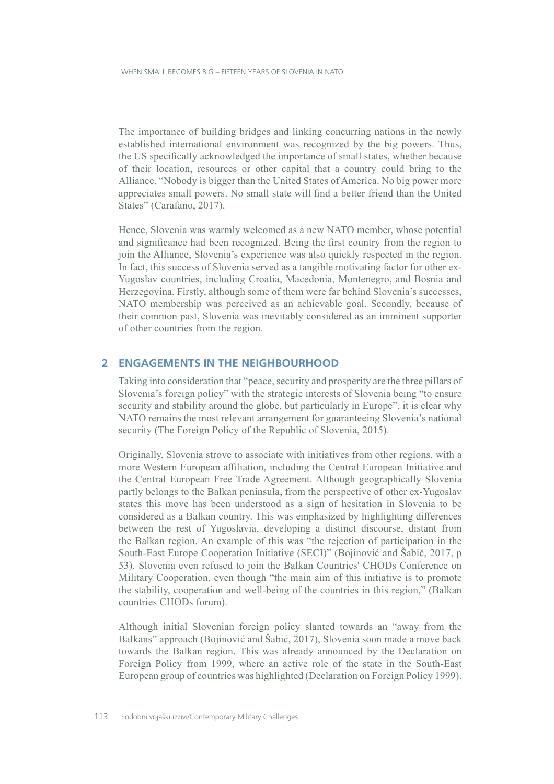The importance of building bridges and linking concurring nations in the newly established international environment was recognized by the big powers. Thus, the US specifically acknowledged the importance of small states, whether because of their location, resources or other capital that a country could bring to the Alliance. "Nobody is bigger than the United States of America. No big power more appreciates small powers. No small state will find a better friend than the United States" (Carafano, 2017).

Hence, Slovenia was warmly welcomed as a new NATO member, whose potential and significance had been recognized. Being the first country from the region to join the Alliance, Slovenia's experience was also quickly respected in the region. In fact, this success of Slovenia served as a tangible motivating factor for other ex-Yugoslav countries, including Croatia, Macedonia, Montenegro, and Bosnia and Herzegovina. Firstly, although some of them were far behind Slovenia's successes. NATO membership was perceived as an achievable goal. Secondly, because of their common past, Slovenia was inevitably considered as an imminent supporter of other countries from the region.

## 2 ENGAGEMENTS IN THE NEIGHBOURHOOD

Taking into consideration that "peace, security and prosperity are the three pillars of Slovenia's foreign policy" with the strategic interests of Slovenia being "to ensure security and stability around the globe, but particularly in Europe", it is clear why NATO remains the most relevant arrangement for guaranteeing Slovenia's national security (The Foreign Policy of the Republic of Slovenia, 2015).

Originally, Slovenia strove to associate with initiatives from other regions, with a more Western European affiliation, including the Central European Initiative and the Central European Free Trade Agreement. Although geographically Slovenia partly belongs to the Balkan peninsula, from the perspective of other ex-Yugoslav states this move has been understood as a sign of hesitation in Slovenia to be considered as a Balkan country. This was emphasized by highlighting differences between the rest of Yugoslavia, developing a distinct discourse, distant from the Balkan region. An example of this was "the rejection of participation in the South-East Europe Cooperation Initiative (SECI)" (Bojinović and Šabič, 2017, p 53). Slovenia even refused to join the Balkan Countries' CHODs Conference on Military Cooperation, even though "the main aim of this initiative is to promote the stability, cooperation and well-being of the countries in this region," (Balkan countries CHODs forum).

Although initial Slovenian foreign policy slanted towards an "away from the Balkans" approach (Bojinović and Šabić, 2017), Slovenia soon made a move back towards the Balkan region. This was already announced by the Declaration on Foreign Policy from 1999, where an active role of the state in the South-East European group of countries was highlighted (Declaration on Foreign Policy 1999).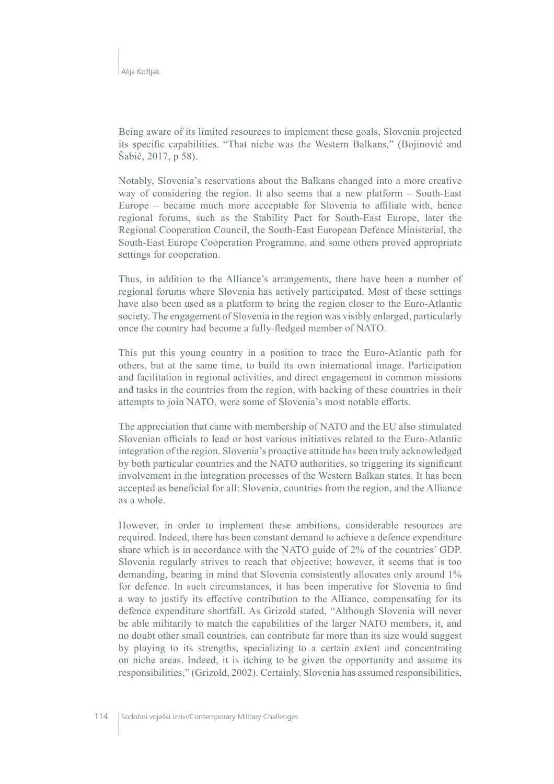Being aware of its limited resources to implement these goals, Slovenia projected its specific capabilities. "That niche was the Western Balkans," (Bojinović and Šabič, 2017, p 58).

Notably, Slovenia's reservations about the Balkans changed into a more creative way of considering the region. It also seems that a new platform  $-$  South-East Europe – became much more acceptable for Slovenia to affiliate with, hence regional forums, such as the Stability Pact for South-East Europe, later the Regional Cooperation Council, the South-East European Defence Ministerial, the South-East Europe Cooperation Programme, and some others proved appropriate settings for cooperation.

Thus, in addition to the Alliance's arrangements, there have been a number of regional forums where Slovenia has actively participated. Most of these settings have also been used as a platform to bring the region closer to the Euro-Atlantic society. The engagement of Slovenia in the region was visibly enlarged, particularly once the country had become a fully-fledged member of NATO.

This put this young country in a position to trace the Euro-Atlantic path for others, but at the same time, to build its own international image. Participation and facilitation in regional activities, and direct engagement in common missions and tasks in the countries from the region, with backing of these countries in their attempts to join NATO, were some of Slovenia's most notable efforts.

The appreciation that came with membership of NATO and the EU also stimulated Slovenian officials to lead or host various initiatives related to the Euro-Atlantic integration of the region. Slovenia's proactive attitude has been truly acknowledged by both particular countries and the NATO authorities, so triggering its significant involvement in the integration processes of the Western Balkan states. It has been accepted as beneficial for all: Slovenia, countries from the region, and the Alliance as a whole.

However, in order to implement these ambitions, considerable resources are required. Indeed, there has been constant demand to achieve a defence expenditure share which is in accordance with the NATO guide of 2% of the countries' GDP. Slovenia regularly strives to reach that objective; however, it seems that is too demanding, bearing in mind that Slovenia consistently allocates only around 1% for defence. In such circumstances, it has been imperative for Slovenia to find a way to justify its effective contribution to the Alliance, compensating for its defence expenditure shortfall. As Grizold stated, "Although Slovenia will never be able militarily to match the capabilities of the larger NATO members, it, and no doubt other small countries, can contribute far more than its size would suggest by playing to its strengths, specializing to a certain extent and concentrating on niche areas. Indeed, it is itching to be given the opportunity and assume its responsibilities," (Grizold, 2002). Certainly, Slovenia has assumed responsibilities,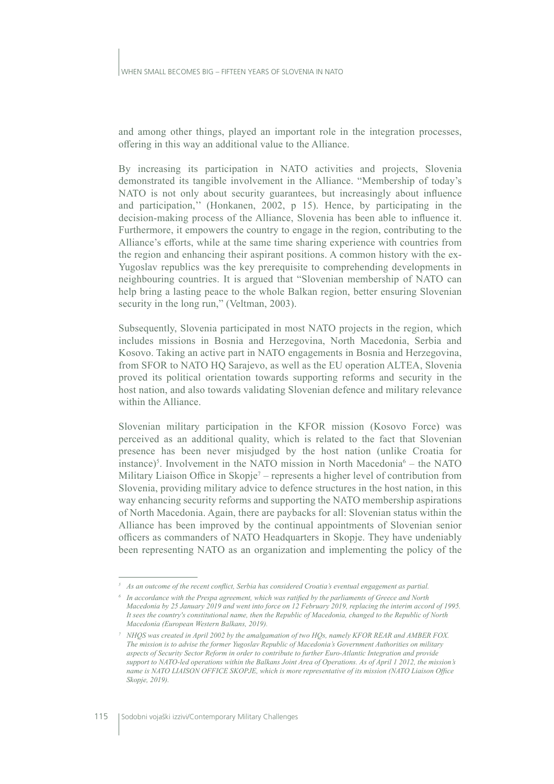and among other things, played an important role in the integration processes, offering in this way an additional value to the Alliance.

By increasing its participation in NATO activities and projects. Slovenia demonstrated its tangible involvement in the Alliance. "Membership of today's NATO is not only about security guarantees, but increasingly about influence and participation," (Honkanen, 2002, p 15). Hence, by participating in the decision-making process of the Alliance, Slovenia has been able to influence it. Furthermore, it empowers the country to engage in the region, contributing to the Alliance's efforts, while at the same time sharing experience with countries from the region and enhancing their aspirant positions. A common history with the ex-Yugoslav republics was the key prerequisite to comprehending developments in neighbouring countries. It is argued that "Slovenian membership of NATO can help bring a lasting peace to the whole Balkan region, better ensuring Slovenian security in the long run," (Veltman, 2003).

Subsequently, Slovenia participated in most NATO projects in the region, which includes missions in Bosnia and Herzegovina, North Macedonia, Serbia and Kosovo. Taking an active part in NATO engagements in Bosnia and Herzegovina, from SFOR to NATO HO Sarajevo, as well as the EU operation ALTEA, Slovenia proved its political orientation towards supporting reforms and security in the host nation, and also towards validating Slovenian defence and military relevance within the Alliance.

Slovenian military participation in the KFOR mission (Kosovo Force) was perceived as an additional quality, which is related to the fact that Slovenian presence has been never misjudged by the host nation (unlike Croatia for instance)<sup>5</sup>. Involvement in the NATO mission in North Macedonia<sup>6</sup> – the NATO Military Liaison Office in Skopje<sup>7</sup> – represents a higher level of contribution from Slovenia, providing military advice to defence structures in the host nation, in this way enhancing security reforms and supporting the NATO membership aspirations of North Macedonia. Again, there are paybacks for all: Slovenian status within the Alliance has been improved by the continual appointments of Slovenian senior officers as commanders of NATO Headquarters in Skopje. They have undeniably been representing NATO as an organization and implementing the policy of the

 $5$  As an outcome of the recent conflict, Serbia has considered Croatia's eventual engagement as partial.

 $6$  In accordance with the Prespa agreement, which was ratified by the parliaments of Greece and North Macedonia by 25 January 2019 and went into force on 12 February 2019, replacing the interim accord of 1995. It sees the country's constitutional name, then the Republic of Macedonia, changed to the Republic of North Macedonia (European Western Balkans, 2019).

<sup>7</sup> NHOS was created in April 2002 by the amalgamation of two HOs, namely KFOR REAR and AMBER FOX. The mission is to advise the former Yugoslav Republic of Macedonia's Government Authorities on military aspects of Security Sector Reform in order to contribute to further Euro-Atlantic Integration and provide support to NATO-led operations within the Balkans Joint Area of Operations. As of April 1 2012, the mission's name is NATO LIAISON OFFICE SKOPJE, which is more representative of its mission (NATO Liaison Office Skopie, 2019).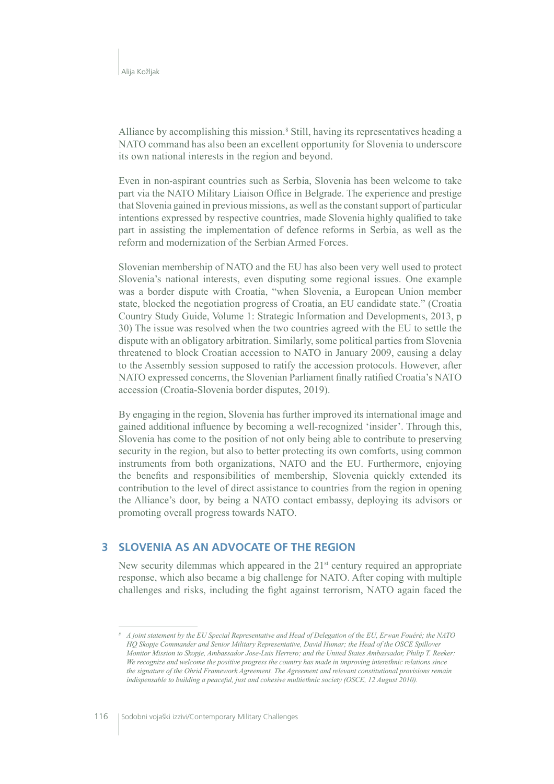Alliance by accomplishing this mission.<sup>8</sup> Still, having its representatives heading a NATO command has also been an excellent opportunity for Slovenia to underscore its own national interests in the region and beyond.

Even in non-aspirant countries such as Serbia, Slovenia has been welcome to take part via the NATO Military Liaison Office in Belgrade. The experience and prestige that Slovenia gained in previous missions, as well as the constant support of particular intentions expressed by respective countries, made Slovenia highly qualified to take part in assisting the implementation of defence reforms in Serbia, as well as the reform and modernization of the Serbian Armed Forces.

Slovenian membership of NATO and the EU has also been very well used to protect Slovenia's national interests, even disputing some regional issues. One example was a border dispute with Croatia, "when Slovenia, a European Union member state, blocked the negotiation progress of Croatia, an EU candidate state." (Croatia Country Study Guide, Volume 1: Strategic Information and Developments, 2013, p 30) The issue was resolved when the two countries agreed with the EU to settle the dispute with an obligatory arbitration. Similarly, some political parties from Slovenia threatened to block Croatian accession to NATO in January 2009, causing a delay to the Assembly session supposed to ratify the accession protocols. However, after NATO expressed concerns, the Slovenian Parliament finally ratified Croatia's NATO accession (Croatia-Slovenia border disputes, 2019).

By engaging in the region, Slovenia has further improved its international image and gained additional influence by becoming a well-recognized 'insider'. Through this, Slovenia has come to the position of not only being able to contribute to preserving security in the region, but also to better protecting its own comforts, using common instruments from both organizations, NATO and the EU. Furthermore, enjoying the benefits and responsibilities of membership, Slovenia quickly extended its contribution to the level of direct assistance to countries from the region in opening the Alliance's door, by being a NATO contact embassy, deploying its advisors or promoting overall progress towards NATO.

#### SLOVENIA AS AN ADVOCATE OF THE REGION 3

New security dilemmas which appeared in the 21<sup>st</sup> century required an appropriate response, which also became a big challenge for NATO. After coping with multiple challenges and risks, including the fight against terrorism, NATO again faced the

A joint statement by the EU Special Representative and Head of Delegation of the EU, Erwan Fouéré; the NATO HQ Skopje Commander and Senior Military Representative, David Humar; the Head of the OSCE Spillover Monitor Mission to Skopje, Ambassador Jose-Luis Herrero; and the United States Ambassador, Philip T. Reeker: We recognize and welcome the positive progress the country has made in improving interethnic relations since the signature of the Ohrid Framework Agreement. The Agreement and relevant constitutional provisions remain indispensable to building a peaceful, just and cohesive multiethnic society (OSCE,  $12$  August 2010).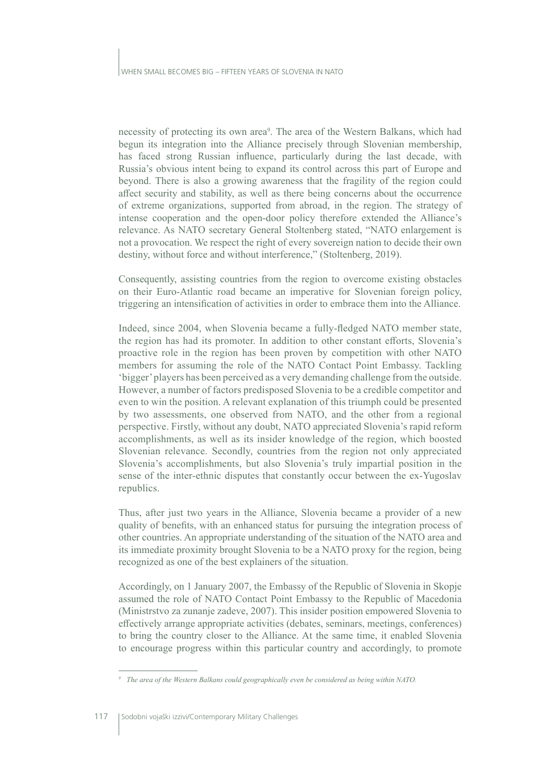necessity of protecting its own area<sup>9</sup>. The area of the Western Balkans, which had begun its integration into the Alliance precisely through Slovenian membership, has faced strong Russian influence, particularly during the last decade, with Russia's obvious intent being to expand its control across this part of Europe and beyond. There is also a growing awareness that the fragility of the region could affect security and stability, as well as there being concerns about the occurrence of extreme organizations, supported from abroad, in the region. The strategy of intense cooperation and the open-door policy therefore extended the Alliance's relevance. As NATO secretary General Stoltenberg stated, "NATO enlargement is not a provocation. We respect the right of every sovereign nation to decide their own destiny, without force and without interference," (Stoltenberg, 2019).

Consequently, assisting countries from the region to overcome existing obstacles on their Euro-Atlantic road became an imperative for Slovenian foreign policy, triggering an intensification of activities in order to embrace them into the Alliance.

Indeed, since 2004, when Slovenia became a fully-fledged NATO member state, the region has had its promoter. In addition to other constant efforts, Slovenia's proactive role in the region has been proven by competition with other NATO members for assuming the role of the NATO Contact Point Embassy. Tackling 'bigger' players has been perceived as a very demanding challenge from the outside. However, a number of factors predisposed Slovenia to be a credible competitor and even to win the position. A relevant explanation of this triumph could be presented by two assessments, one observed from NATO, and the other from a regional perspective. Firstly, without any doubt, NATO appreciated Slovenia's rapid reform accomplishments, as well as its insider knowledge of the region, which boosted Slovenian relevance. Secondly, countries from the region not only appreciated Slovenia's accomplishments, but also Slovenia's truly impartial position in the sense of the inter-ethnic disputes that constantly occur between the ex-Yugoslav republics.

Thus, after just two years in the Alliance, Slovenia became a provider of a new quality of benefits, with an enhanced status for pursuing the integration process of other countries. An appropriate understanding of the situation of the NATO area and its immediate proximity brought Slovenia to be a NATO proxy for the region, being recognized as one of the best explainers of the situation.

Accordingly, on 1 January 2007, the Embassy of the Republic of Slovenia in Skopje assumed the role of NATO Contact Point Embassy to the Republic of Macedonia (Ministrityo za zunanje zadeve, 2007). This insider position empowered Slovenia to effectively arrange appropriate activities (debates, seminars, meetings, conferences) to bring the country closer to the Alliance. At the same time, it enabled Slovenia to encourage progress within this particular country and accordingly, to promote

 $\degree$  The area of the Western Balkans could geographically even be considered as being within NATO.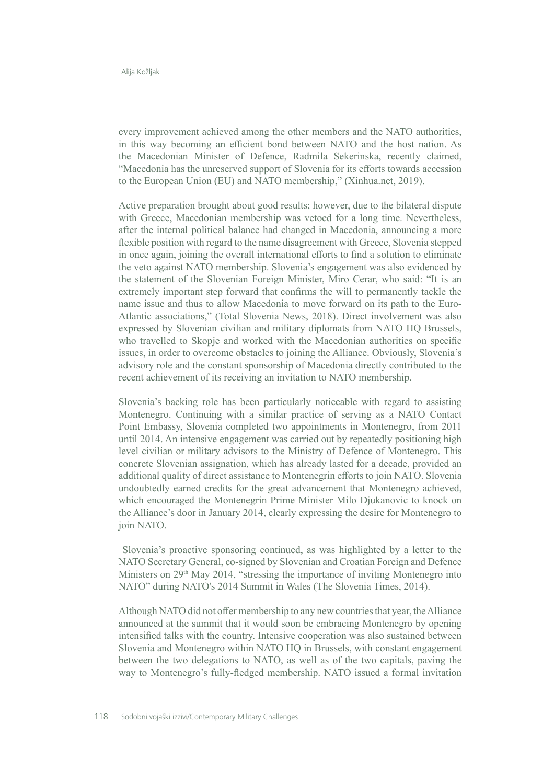every improvement achieved among the other members and the NATO authorities, in this way becoming an efficient bond between NATO and the host nation. As the Macedonian Minister of Defence, Radmila Sekerinska, recently claimed, "Macedonia has the unreserved support of Slovenia for its efforts towards accession to the European Union (EU) and NATO membership," (Xinhua.net, 2019).

Active preparation brought about good results; however, due to the bilateral dispute with Greece, Macedonian membership was vetoed for a long time. Nevertheless, after the internal political balance had changed in Macedonia, announcing a more flexible position with regard to the name disagreement with Greece, Slovenia stepped in once again, joining the overall international efforts to find a solution to eliminate the veto against NATO membership. Slovenia's engagement was also evidenced by the statement of the Slovenian Foreign Minister, Miro Cerar, who said: "It is an extremely important step forward that confirms the will to permanently tackle the name issue and thus to allow Macedonia to move forward on its path to the Euro-Atlantic associations," (Total Slovenia News, 2018). Direct involvement was also expressed by Slovenian civilian and military diplomats from NATO HQ Brussels, who travelled to Skopje and worked with the Macedonian authorities on specific issues, in order to overcome obstacles to joining the Alliance. Obviously, Slovenia's advisory role and the constant sponsorship of Macedonia directly contributed to the recent achievement of its receiving an invitation to NATO membership.

Slovenia's backing role has been particularly noticeable with regard to assisting Montenegro. Continuing with a similar practice of serving as a NATO Contact Point Embassy, Slovenia completed two appointments in Montenegro, from 2011 until 2014. An intensive engagement was carried out by repeatedly positioning high level civilian or military advisors to the Ministry of Defence of Montenegro. This concrete Slovenian assignation, which has already lasted for a decade, provided an additional quality of direct assistance to Montenegrin efforts to join NATO. Slovenia undoubtedly earned credits for the great advancement that Montenegro achieved, which encouraged the Montenegrin Prime Minister Milo Djukanovic to knock on the Alliance's door in January 2014, clearly expressing the desire for Montenegro to join NATO.

Slovenia's proactive sponsoring continued, as was highlighted by a letter to the NATO Secretary General, co-signed by Slovenian and Croatian Foreign and Defence Ministers on 29<sup>th</sup> May 2014, "stressing the importance of inviting Montenegro into NATO" during NATO's 2014 Summit in Wales (The Slovenia Times, 2014).

Although NATO did not offer membership to any new countries that year, the Alliance announced at the summit that it would soon be embracing Montenegro by opening intensified talks with the country. Intensive cooperation was also sustained between Slovenia and Montenegro within NATO HO in Brussels, with constant engagement between the two delegations to NATO, as well as of the two capitals, paving the way to Montenegro's fully-fledged membership. NATO issued a formal invitation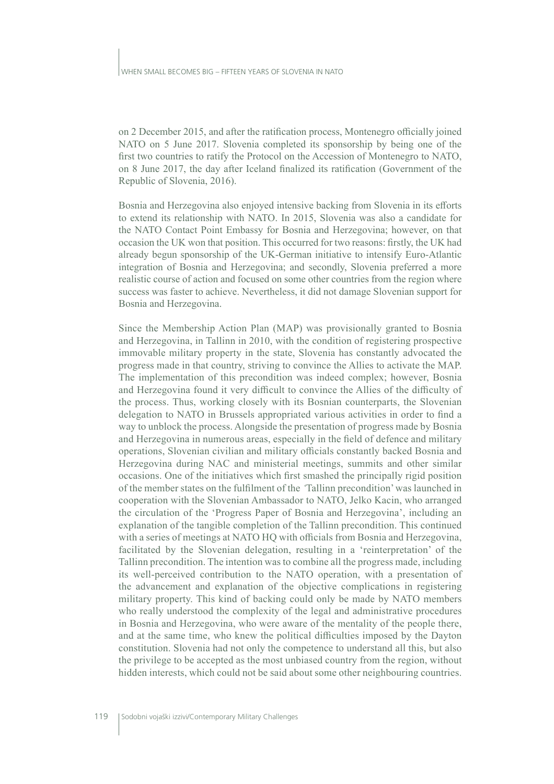on 2 December 2015, and after the ratification process, Montenegro officially joined NATO on 5 June 2017. Slovenia completed its sponsorship by being one of the first two countries to ratify the Protocol on the Accession of Montenegro to NATO, on 8 June 2017, the day after Iceland finalized its ratification (Government of the Republic of Slovenia, 2016).

Bosnia and Herzegovina also enjoyed intensive backing from Slovenia in its efforts to extend its relationship with NATO. In 2015, Slovenia was also a candidate for the NATO Contact Point Embassy for Bosnia and Herzegovina; however, on that occasion the UK won that position. This occurred for two reasons: firstly, the UK had already begun sponsorship of the UK-German initiative to intensify Euro-Atlantic integration of Bosnia and Herzegovina; and secondly, Slovenia preferred a more realistic course of action and focused on some other countries from the region where success was faster to achieve. Nevertheless, it did not damage Slovenian support for Bosnia and Herzegovina.

Since the Membership Action Plan (MAP) was provisionally granted to Bosnia and Herzegovina, in Tallinn in 2010, with the condition of registering prospective immovable military property in the state, Slovenia has constantly advocated the progress made in that country, striving to convince the Allies to activate the MAP. The implementation of this precondition was indeed complex; however, Bosnia and Herzegovina found it very difficult to convince the Allies of the difficulty of the process. Thus, working closely with its Bosnian counterparts, the Slovenian delegation to NATO in Brussels appropriated various activities in order to find a way to unblock the process. Alongside the presentation of progress made by Bosnia and Herzegovina in numerous areas, especially in the field of defence and military operations, Slovenian civilian and military officials constantly backed Bosnia and Herzegovina during NAC and ministerial meetings, summits and other similar occasions. One of the initiatives which first smashed the principally rigid position of the member states on the fulfilment of the 'Tallinn precondition' was launched in cooperation with the Slovenian Ambassador to NATO, Jelko Kacin, who arranged the circulation of the 'Progress Paper of Bosnia and Herzegovina', including an explanation of the tangible completion of the Tallinn precondition. This continued with a series of meetings at NATO HQ with officials from Bosnia and Herzegovina, facilitated by the Slovenian delegation, resulting in a 'reinterpretation' of the Tallinn precondition. The intention was to combine all the progress made, including its well-perceived contribution to the NATO operation, with a presentation of the advancement and explanation of the objective complications in registering military property. This kind of backing could only be made by NATO members who really understood the complexity of the legal and administrative procedures in Bosnia and Herzegovina, who were aware of the mentality of the people there, and at the same time, who knew the political difficulties imposed by the Dayton constitution. Slovenia had not only the competence to understand all this, but also the privilege to be accepted as the most unbiased country from the region, without hidden interests, which could not be said about some other neighbouring countries.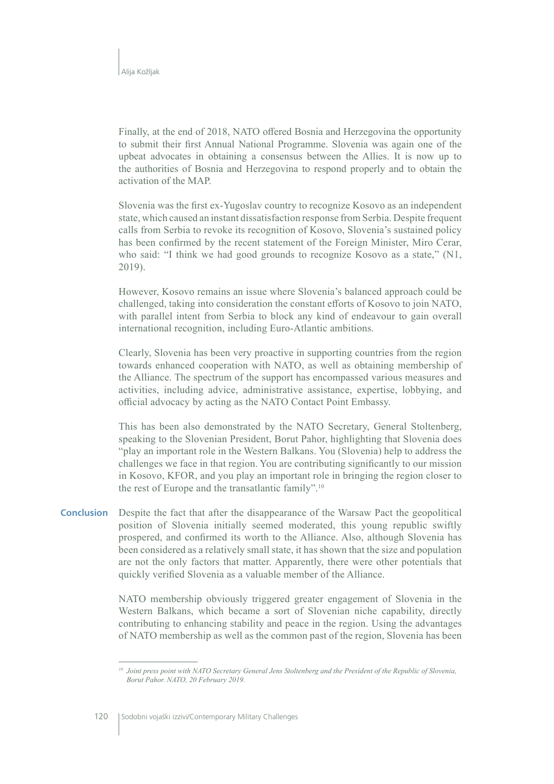Finally, at the end of 2018, NATO offered Bosnia and Herzegovina the opportunity to submit their first Annual National Programme. Slovenia was again one of the upbeat advocates in obtaining a consensus between the Allies. It is now up to the authorities of Bosnia and Herzegovina to respond properly and to obtain the activation of the MAP.

Slovenia was the first ex-Yugoslav country to recognize Kosovo as an independent state, which caused an instant dissatisfaction response from Serbia. Despite frequent calls from Serbia to revoke its recognition of Kosovo, Slovenia's sustained policy has been confirmed by the recent statement of the Foreign Minister, Miro Cerar, who said: "I think we had good grounds to recognize Kosovo as a state," (N1, 2019).

However, Kosovo remains an issue where Slovenia's balanced approach could be challenged, taking into consideration the constant efforts of Kosovo to join NATO, with parallel intent from Serbia to block any kind of endeavour to gain overall international recognition, including Euro-Atlantic ambitions.

Clearly, Slovenia has been very proactive in supporting countries from the region towards enhanced cooperation with NATO, as well as obtaining membership of the Alliance. The spectrum of the support has encompassed various measures and activities, including advice, administrative assistance, expertise, lobbying, and official advocacy by acting as the NATO Contact Point Embassy.

This has been also demonstrated by the NATO Secretary, General Stoltenberg, speaking to the Slovenian President, Borut Pahor, highlighting that Slovenia does "play an important role in the Western Balkans. You (Slovenia) help to address the challenges we face in that region. You are contributing significantly to our mission in Kosovo, KFOR, and you play an important role in bringing the region closer to the rest of Europe and the transatlantic family".<sup>10</sup>

**Conclusion** Despite the fact that after the disappearance of the Warsaw Pact the geopolitical position of Slovenia initially seemed moderated, this young republic swiftly prospered, and confirmed its worth to the Alliance. Also, although Slovenia has been considered as a relatively small state, it has shown that the size and population are not the only factors that matter. Apparently, there were other potentials that quickly verified Slovenia as a valuable member of the Alliance.

> NATO membership obviously triggered greater engagement of Slovenia in the Western Balkans, which became a sort of Slovenian niche capability, directly contributing to enhancing stability and peace in the region. Using the advantages of NATO membership as well as the common past of the region, Slovenia has been

<sup>&</sup>lt;sup>10</sup> Joint press point with NATO Secretary General Jens Stoltenberg and the President of the Republic of Slovenia, Borut Pahor, NATO, 20 February 2019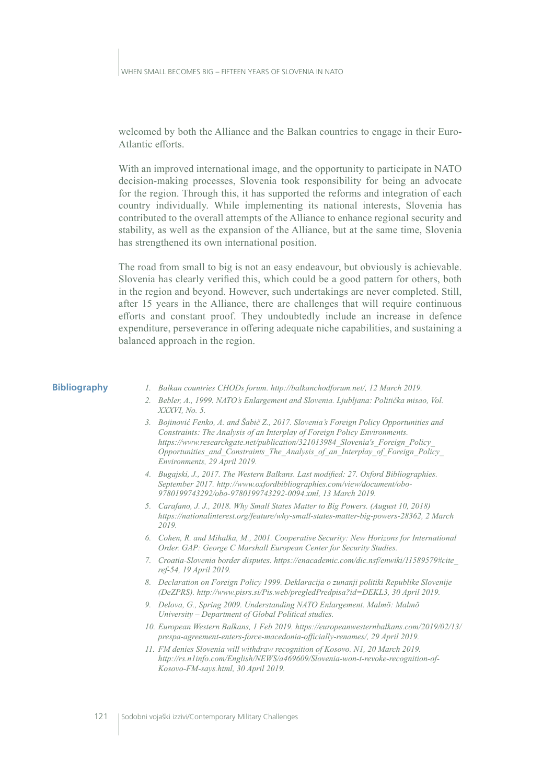I WHEN SMALL BECOMES BIG – FIFTEEN YEARS OF SLOVENIA IN NATO

welcomed by both the Alliance and the Balkan countries to engage in their Euro-Atlantic efforts.

With an improved international image, and the opportunity to participate in NATO decision-making processes, Slovenia took responsibility for being an advocate for the region. Through this, it has supported the reforms and integration of each country individually. While implementing its national interests, Slovenia has contributed to the overall attempts of the Alliance to enhance regional security and stability, as well as the expansion of the Alliance, but at the same time, Slovenia has strengthened its own international position.

The road from small to big is not an easy endeavour, but obviously is achievable. Slovenia has clearly verified this, which could be a good pattern for others, both in the region and beyond. However, such undertakings are never completed. Still, after 15 years in the Alliance, there are challenges that will require continuous efforts and constant proof. They undoubtedly include an increase in defence expenditure, perseverance in offering adequate niche capabilities, and sustaining a balanced approach in the region.

### **Bibliography**

- 1. Balkan countries CHODs forum. http://balkanchodforum.net/, 12 March 2019.
- 2. Bebler, A., 1999. NATO's Enlargement and Slovenia. Ljubljana: Politička misao, Vol. XXXVI. No. 5.
- 3. Bojinović Fenko, A. and Šabič Z., 2017. Slovenia's Foreign Policy Opportunities and Constraints: The Analysis of an Interplay of Foreign Policy Environments. https://www.researchgate.net/publication/321013984 Slovenia's Foreign Policy Opportunities and Constraints The Analysis of an Interplay of Foreign Policy Environments, 29 April 2019.
- 4. Bugajski, J., 2017. The Western Balkans. Last modified: 27. Oxford Bibliographies. September 2017. http://www.oxfordbibliographies.com/view/document/obo-9780199743292/obo-9780199743292-0094.xml, 13 March 2019.
- 5. Carafano, J. J., 2018. Why Small States Matter to Big Powers. (August 10, 2018) https://nationalinterest.org/feature/why-small-states-matter-big-powers-28362, 2 March 2019.
- 6. Cohen, R. and Mihalka, M., 2001. Cooperative Security: New Horizons for International Order. GAP: George C Marshall European Center for Security Studies.
- 7. Croatia-Slovenia border disputes. https://enacademic.com/dic.nsf/enwiki/11589579#cite ref-54. 19 April 2019.
- 8. Declaration on Foreign Policy 1999. Deklaracija o zunanji politiki Republike Slovenije (DeZPRS). http://www.pisrs.si/Pis.web/pregledPredpisa?id=DEKL3, 30 April 2019.
- 9. Delova, G., Spring 2009. Understanding NATO Enlargement. Malmö: Malmö University - Department of Global Political studies.
- 10. European Western Balkans, 1 Feb 2019. https://europeanwesternbalkans.com/2019/02/13/ prespa-agreement-enters-force-macedonia-officially-renames/, 29 April 2019.
- 11. FM denies Slovenia will withdraw recognition of Kosovo. N1, 20 March 2019. http://rs.nlinfo.com/English/NEWS/a469609/Slovenia-won-t-revoke-recognition-of-Kosovo-FM-says.html, 30 April 2019.